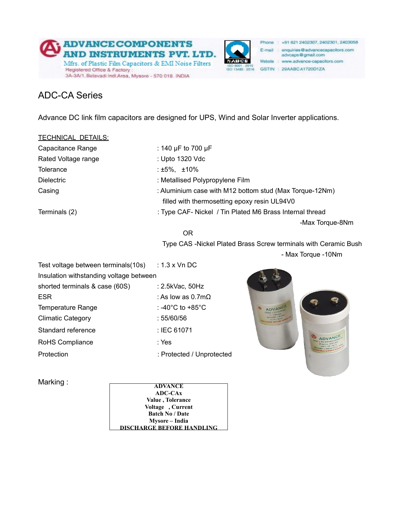



Phone : +91 821 2402307, 2402301, 2403058 E-mail : enquiries@advancecapacitors.com advcaps@gmail.com Website : www.advance-capacitors.com GSTIN: 29AABCA1720D1ZA

## ADC-CA Series

Advance DC link film capacitors are designed for UPS, Wind and Solar Inverter applications.

| <b>TECHNICAL DETAILS:</b> |  |
|---------------------------|--|
|                           |  |

| Capacitance Range   | : 140 $\mu$ F to 700 $\mu$ F                             |
|---------------------|----------------------------------------------------------|
| Rated Voltage range | : Upto 1320 Vdc                                          |
| Tolerance           | : $±5\%$ , $±10\%$                                       |
| <b>Dielectric</b>   | : Metallised Polypropylene Film                          |
| Casing              | : Aluminium case with M12 bottom stud (Max Torque-12Nm)  |
|                     | filled with thermosetting epoxy resin UL94V0             |
| Terminals (2)       | : Type CAF- Nickel / Tin Plated M6 Brass Internal thread |
|                     | -Max Torque-8Nm                                          |

**OR** Service Service Service Service Service Service Service Service Service Service Service Service Service Service Service Service Service Service Service Service Service Service Service Service Service Service Service S

 Type CAS -Nickel Plated Brass Screw terminals with Ceramic Bush - Max Torque -10Nm

| Test voltage between terminals(10s) $\therefore$ 1.3 x Vn DC |                            |  |  |  |  |
|--------------------------------------------------------------|----------------------------|--|--|--|--|
| Insulation withstanding voltage between                      |                            |  |  |  |  |
| shorted terminals & case (60S)                               | :2.5kVac, 50Hz             |  |  |  |  |
| ESR                                                          | : As low as $0.7 \text{m}$ |  |  |  |  |
| Temperature Range                                            | : -40°C to +85°C           |  |  |  |  |
| <b>Climatic Category</b>                                     | :55/60/56                  |  |  |  |  |
| Standard reference                                           | : IEC 61071                |  |  |  |  |
| RoHS Compliance                                              | : Yes                      |  |  |  |  |
| Protection                                                   | : Protected / Unprotected  |  |  |  |  |
|                                                              |                            |  |  |  |  |



Marking : **ADVANCE ADC-CAx Value , Tolerance Voltage , Current Batch No / Date Mysore – India DISCHARGE BEFORE HANDLING**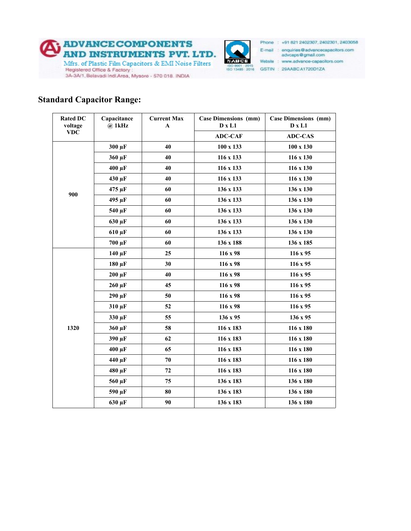



Phone : +91 821 2402307, 2402301, 2403058 E-mail : enquiries@advancecapacitors.com advcaps@gmail.com Website : www.advance-capacitors.com 80 8001 2015<br>80 13485 2016 GSTIN : 29AABCA1720D1ZA

## **Standard Capacitor Range:**

| <b>Rated DC</b><br>voltage | Capacitance<br>$@$ 1kHz | <b>Current Max</b><br>A | <b>Case Dimensions (mm)</b><br>$D \times L1$ | <b>Case Dimensions (mm)</b><br>D x L1 |
|----------------------------|-------------------------|-------------------------|----------------------------------------------|---------------------------------------|
| <b>VDC</b>                 |                         |                         | <b>ADC-CAF</b>                               | <b>ADC-CAS</b>                        |
| 900                        | 300 μF                  | 40                      | 100 x 133                                    | $100 \times 130$                      |
|                            | 360 μF                  | 40                      | 116 x 133                                    | 116 x 130                             |
|                            | $400 \mu F$             | 40                      | 116 x 133                                    | 116 x 130                             |
|                            | 430 µF                  | 40                      | 116 x 133                                    | 116 x 130                             |
|                            | 475 µF                  | 60                      | 136 x 133                                    | 136 x 130                             |
|                            | 495 µF                  | 60                      | 136 x 133                                    | 136 x 130                             |
|                            | 540 µF                  | 60                      | 136 x 133                                    | 136 x 130                             |
|                            | 630 µF                  | 60                      | 136 x 133                                    | 136 x 130                             |
|                            | $610 \mu F$             | 60                      | 136 x 133                                    | 136 x 130                             |
|                            | <b>700 μF</b>           | 60                      | 136 x 188                                    | 136 x 185                             |
| 1320                       | $140 \mu F$             | 25                      | 116 x 98                                     | $116 \times 95$                       |
|                            | $180 \mu F$             | 30                      | 116 x 98                                     | $116 \times 95$                       |
|                            | $200 \mu F$             | 40                      | 116 x 98                                     | $116 \times 95$                       |
|                            | $260 \mu F$             | 45                      | 116 x 98                                     | 116 x 95                              |
|                            | $290 \mu F$             | 50                      | 116 x 98                                     | $116 \times 95$                       |
|                            | 310 µF                  | 52                      | 116 x 98                                     | $116 \times 95$                       |
|                            | 330 µF                  | 55                      | 136 x 95                                     | 136 x 95                              |
|                            | 360 μF                  | 58                      | 116 x 183                                    | 116 x 180                             |
|                            | 390 μF                  | 62                      | 116 x 183                                    | 116 x 180                             |
|                            | $400 \mu F$             | 65                      | 116 x 183                                    | 116 x 180                             |
|                            | 440 μF                  | 70                      | 116 x 183                                    | 116 x 180                             |
|                            | 480 μF                  | 72                      | 116 x 183                                    | 116 x 180                             |
|                            | 560 µF                  | 75                      | 136 x 183                                    | 136 x 180                             |
|                            | 590 μF                  | 80                      | 136 x 183                                    | 136 x 180                             |
|                            | 630 µF                  | 90                      | 136 x 183                                    | 136 x 180                             |